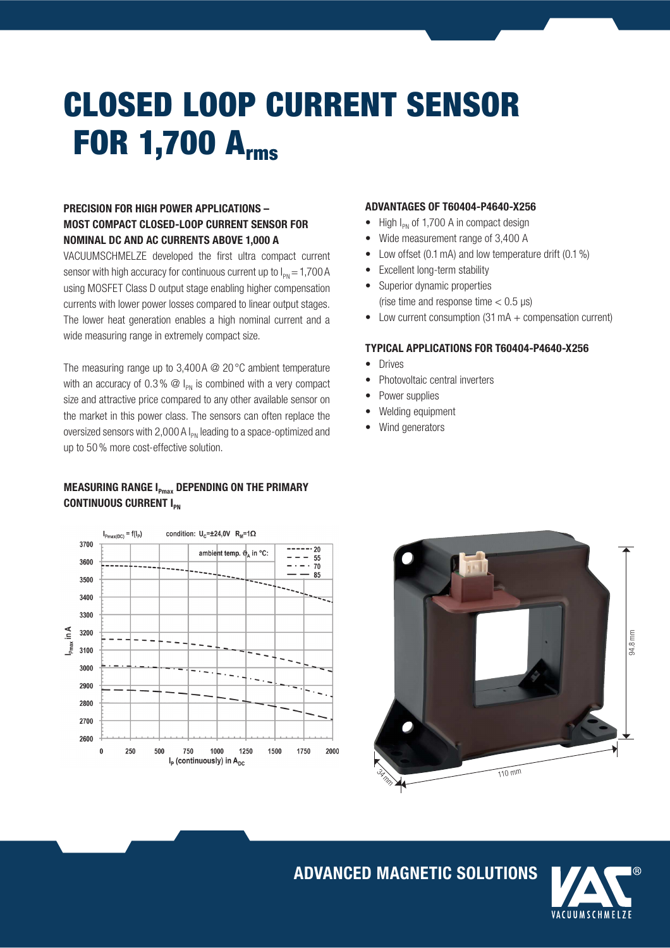# CLOSED LOOP CURRENT SENSOR FOR 1,700 Arms

# PRECISION FOR HIGH POWER APPLICATIONS – MOST COMPACT CLOSED-LOOP CURRENT SENSOR FOR NOMINAL DC AND AC CURRENTS ABOVE 1,000 A

VACUUMSCHMELZE developed the first ultra compact current sensor with high accuracy for continuous current up to  $I_{\text{pN}} = 1,700 \text{ A}$ using MOSFET Class D output stage enabling higher compensation currents with lower power losses compared to linear output stages. The lower heat generation enables a high nominal current and a wide measuring range in extremely compact size.

The measuring range up to  $3.400A \otimes 20^{\circ}$ C ambient temperature with an accuracy of 0.3 %  $\omega$  I<sub>PN</sub> is combined with a very compact size and attractive price compared to any other available sensor on the market in this power class. The sensors can often replace the oversized sensors with 2,000 A  $I_{PN}$  leading to a space-optimized and up to 50 % more cost-effective solution.

# MEASURING RANGE I<sub>pmax</sub> DEPENDING ON THE PRIMARY CONTINUOUS CURRENT I<sub>PN</sub>



### ADVANTAGES OF T60404-P4640-X256

- $\bullet$  High  $I_{PN}$  of 1,700 A in compact design
- Wide measurement range of 3,400 A
- Low offset (0.1 mA) and low temperature drift (0.1 %)
- Excellent long-term stability
- Superior dynamic properties (rise time and response time  $< 0.5 \text{ }\mu\text{s}$ )
- Low current consumption  $(31 \text{ mA} + \text{compression}$  current)

## TYPICAL APPLICATIONS FOR T60404-P4640-X256

- Drives
- Photovoltaic central inverters
- Power supplies
- Welding equipment
- Wind generators



ADVANCED MAGNETIC SOLUTIONS